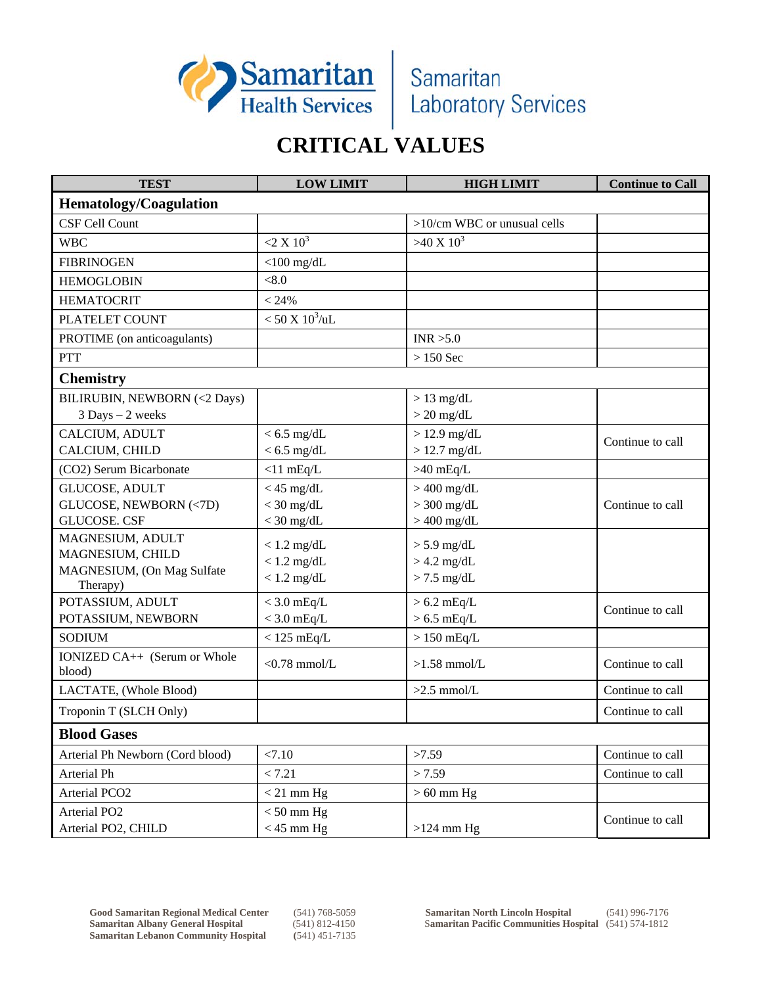

## **CRITICAL VALUES**

| <b>TEST</b>                            | <b>LOW LIMIT</b>        | <b>HIGH LIMIT</b>           | <b>Continue to Call</b> |  |
|----------------------------------------|-------------------------|-----------------------------|-------------------------|--|
| <b>Hematology/Coagulation</b>          |                         |                             |                         |  |
| <b>CSF Cell Count</b>                  |                         | >10/cm WBC or unusual cells |                         |  |
| <b>WBC</b>                             | $2 \times 10^3$         | $>40 X 10^3$                |                         |  |
| <b>FIBRINOGEN</b>                      | $<$ 100 mg/dL           |                             |                         |  |
| <b>HEMOGLOBIN</b>                      | < 8.0                   |                             |                         |  |
| <b>HEMATOCRIT</b>                      | < 24%                   |                             |                         |  |
| PLATELET COUNT                         | $< 50 X 10^3/\text{uL}$ |                             |                         |  |
| PROTIME (on anticoagulants)            |                         | INR > 5.0                   |                         |  |
| PTT                                    |                         | $>150$ Sec                  |                         |  |
| <b>Chemistry</b>                       |                         |                             |                         |  |
| BILIRUBIN, NEWBORN (<2 Days)           |                         | $> 13$ mg/dL                |                         |  |
| 3 Days - 2 weeks                       |                         | $> 20$ mg/dL                |                         |  |
| CALCIUM, ADULT                         | $< 6.5$ mg/dL           | $> 12.9$ mg/dL              | Continue to call        |  |
| CALCIUM, CHILD                         | $< 6.5$ mg/dL           | $> 12.7$ mg/dL              |                         |  |
| (CO2) Serum Bicarbonate                | $<$ 11 mEq/L            | $>40$ mEq/L                 |                         |  |
| <b>GLUCOSE, ADULT</b>                  | $<$ 45 mg/dL            | $>400$ mg/dL                |                         |  |
| GLUCOSE, NEWBORN (<7D)                 | $<$ 30 mg/dL            | $>$ 300 mg/dL               | Continue to call        |  |
| <b>GLUCOSE. CSF</b>                    | $<$ 30 mg/dL            | $>400$ mg/dL                |                         |  |
| MAGNESIUM, ADULT<br>MAGNESIUM, CHILD   | $< 1.2$ mg/dL           | $> 5.9$ mg/dL               |                         |  |
| MAGNESIUM, (On Mag Sulfate             | $< 1.2$ mg/dL           | $>$ 4.2 mg/dL               |                         |  |
| Therapy)                               | $< 1.2$ mg/dL           | $> 7.5$ mg/dL               |                         |  |
| POTASSIUM, ADULT                       | $<$ 3.0 mEq/L           | $> 6.2$ mEq/L               |                         |  |
| POTASSIUM, NEWBORN                     | $<$ 3.0 mEq/L           | $> 6.5$ mEq/L               | Continue to call        |  |
| <b>SODIUM</b>                          | $< 125$ mEq/L           | $> 150$ mEq/L               |                         |  |
| IONIZED CA++ (Serum or Whole<br>blood) | $<$ 0.78 mmol/L         | $>1.58$ mmol/L              | Continue to call        |  |
| LACTATE, (Whole Blood)                 |                         | $>2.5$ mmol/L               | Continue to call        |  |
| Troponin T (SLCH Only)                 |                         |                             | Continue to call        |  |
| <b>Blood Gases</b>                     |                         |                             |                         |  |
| Arterial Ph Newborn (Cord blood)       | < 7.10                  | >7.59                       | Continue to call        |  |
| Arterial Ph                            | < 7.21                  | > 7.59                      | Continue to call        |  |
| Arterial PCO <sub>2</sub>              | $<$ 21 mm Hg            | $>60$ mm Hg                 |                         |  |
| Arterial PO <sub>2</sub>               | $< 50$ mm Hg            |                             | Continue to call        |  |
| Arterial PO2, CHILD                    | $<$ 45 mm Hg            | $>124$ mm Hg                |                         |  |